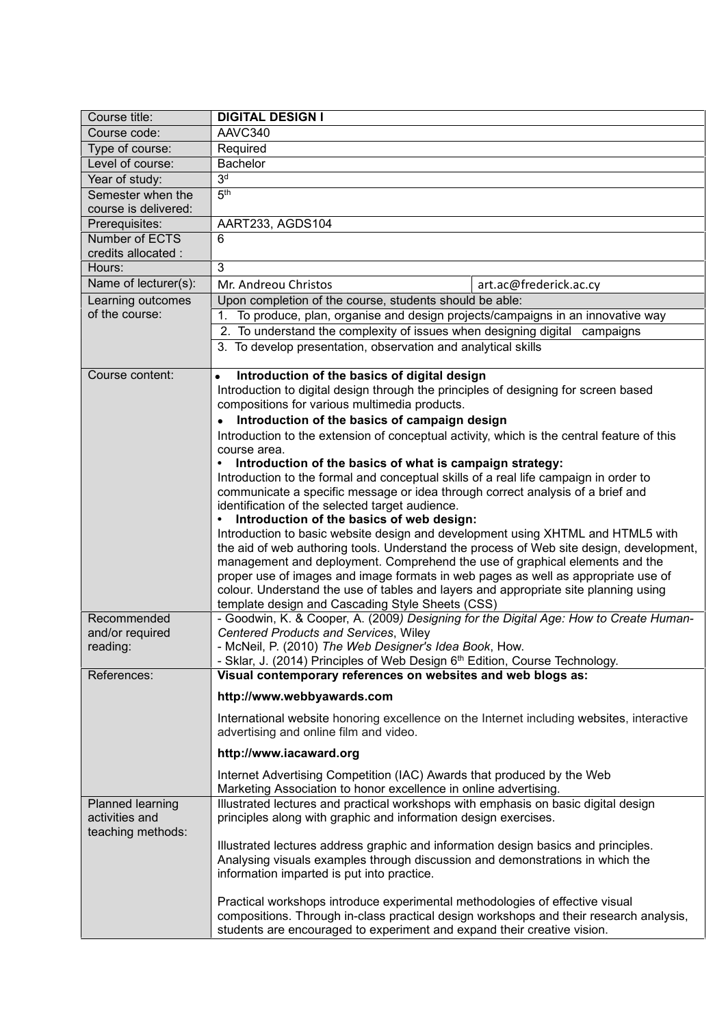| Course title:                                           | <b>DIGITAL DESIGN I</b>                                                                                                                                                                                                                           |
|---------------------------------------------------------|---------------------------------------------------------------------------------------------------------------------------------------------------------------------------------------------------------------------------------------------------|
| Course code:                                            | AAVC340                                                                                                                                                                                                                                           |
| Type of course:                                         | Required                                                                                                                                                                                                                                          |
| Level of course:                                        | <b>Bachelor</b>                                                                                                                                                                                                                                   |
| Year of study:                                          | 3 <sup>d</sup>                                                                                                                                                                                                                                    |
| Semester when the                                       | 5 <sup>th</sup>                                                                                                                                                                                                                                   |
| course is delivered:                                    |                                                                                                                                                                                                                                                   |
| Prerequisites:                                          | AART233, AGDS104                                                                                                                                                                                                                                  |
| Number of ECTS                                          | 6                                                                                                                                                                                                                                                 |
| credits allocated :                                     |                                                                                                                                                                                                                                                   |
| Hours:                                                  | 3                                                                                                                                                                                                                                                 |
| Name of lecturer(s):                                    | Mr. Andreou Christos<br>art.ac@frederick.ac.cy                                                                                                                                                                                                    |
| Learning outcomes<br>of the course:                     | Upon completion of the course, students should be able:                                                                                                                                                                                           |
|                                                         | To produce, plan, organise and design projects/campaigns in an innovative way<br>1.                                                                                                                                                               |
|                                                         | 2. To understand the complexity of issues when designing digital campaigns                                                                                                                                                                        |
|                                                         | 3. To develop presentation, observation and analytical skills                                                                                                                                                                                     |
| Course content:                                         | Introduction of the basics of digital design<br>$\bullet$                                                                                                                                                                                         |
|                                                         | Introduction to digital design through the principles of designing for screen based                                                                                                                                                               |
|                                                         | compositions for various multimedia products.                                                                                                                                                                                                     |
|                                                         | Introduction of the basics of campaign design                                                                                                                                                                                                     |
|                                                         | Introduction to the extension of conceptual activity, which is the central feature of this                                                                                                                                                        |
|                                                         | course area.<br>Introduction of the basics of what is campaign strategy:<br>$\bullet$                                                                                                                                                             |
|                                                         | Introduction to the formal and conceptual skills of a real life campaign in order to                                                                                                                                                              |
|                                                         | communicate a specific message or idea through correct analysis of a brief and                                                                                                                                                                    |
|                                                         | identification of the selected target audience.                                                                                                                                                                                                   |
|                                                         | Introduction of the basics of web design:                                                                                                                                                                                                         |
|                                                         | Introduction to basic website design and development using XHTML and HTML5 with                                                                                                                                                                   |
|                                                         | the aid of web authoring tools. Understand the process of Web site design, development,                                                                                                                                                           |
|                                                         | management and deployment. Comprehend the use of graphical elements and the                                                                                                                                                                       |
|                                                         | proper use of images and image formats in web pages as well as appropriate use of<br>colour. Understand the use of tables and layers and appropriate site planning using                                                                          |
|                                                         | template design and Cascading Style Sheets (CSS)                                                                                                                                                                                                  |
| Recommended                                             | - Goodwin, K. & Cooper, A. (2009) Designing for the Digital Age: How to Create Human-                                                                                                                                                             |
| and/or required                                         | Centered Products and Services, Wiley                                                                                                                                                                                                             |
| reading:                                                | - McNeil, P. (2010) The Web Designer's Idea Book, How.                                                                                                                                                                                            |
|                                                         | - Sklar, J. (2014) Principles of Web Design 6 <sup>th</sup> Edition, Course Technology.                                                                                                                                                           |
| References:                                             | Visual contemporary references on websites and web blogs as:                                                                                                                                                                                      |
|                                                         | http://www.webbyawards.com                                                                                                                                                                                                                        |
|                                                         | International website honoring excellence on the Internet including websites, interactive                                                                                                                                                         |
|                                                         | advertising and online film and video.                                                                                                                                                                                                            |
|                                                         | http://www.iacaward.org                                                                                                                                                                                                                           |
|                                                         | Internet Advertising Competition (IAC) Awards that produced by the Web<br>Marketing Association to honor excellence in online advertising.                                                                                                        |
| Planned learning<br>activities and<br>teaching methods: | Illustrated lectures and practical workshops with emphasis on basic digital design<br>principles along with graphic and information design exercises.                                                                                             |
|                                                         | Illustrated lectures address graphic and information design basics and principles.<br>Analysing visuals examples through discussion and demonstrations in which the<br>information imparted is put into practice.                                 |
|                                                         | Practical workshops introduce experimental methodologies of effective visual<br>compositions. Through in-class practical design workshops and their research analysis,<br>students are encouraged to experiment and expand their creative vision. |